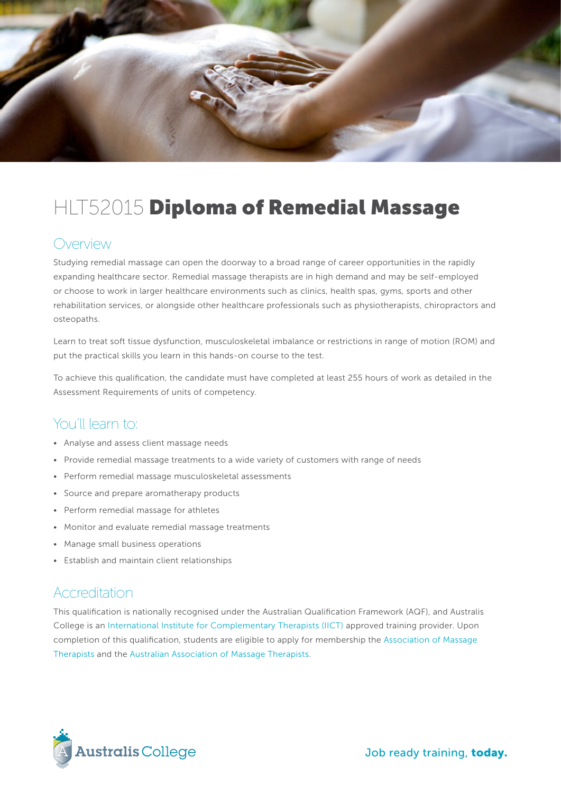

# HLT52015 Diploma of Remedial Massage

#### Overview

Studying remedial massage can open the doorway to a broad range of career opportunities in the rapidly expanding healthcare sector. Remedial massage therapists are in high demand and may be self-employed or choose to work in larger healthcare environments such as clinics, health spas, gyms, sports and other rehabilitation services, or alongside other healthcare professionals such as physiotherapists, chiropractors and osteopaths.

Learn to treat soft tissue dysfunction, musculoskeletal imbalance or restrictions in range of motion (ROM) and put the practical skills you learn in this hands-on course to the test.

To achieve this qualification, the candidate must have completed at least 255 hours of work as detailed in the Assessment Requirements of units of competency.

#### You'll learn to:

- Analyse and assess client massage needs
- Provide remedial massage treatments to a wide variety of customers with range of needs
- Perform remedial massage musculoskeletal assessments
- Source and prepare aromatherapy products
- Perform remedial massage for athletes
- Monitor and evaluate remedial massage treatments
- Manage small business operations
- Establish and maintain client relationships

#### Accreditation

This qualification is nationally recognised under the Australian Qualification Framework (AQF), and Australis College is an [International Institute for Complementary Therapists \(IICT\)](http://www.iict.com.au/) approved training provider. Upon completion of this qualification, students are eligible to apply for membership the [Association of Massage](http://www.amt.org.au/)  [Therapists](http://www.amt.org.au/) and the [Australian Association of Massage Therapists.](https://aamt.com.au/)

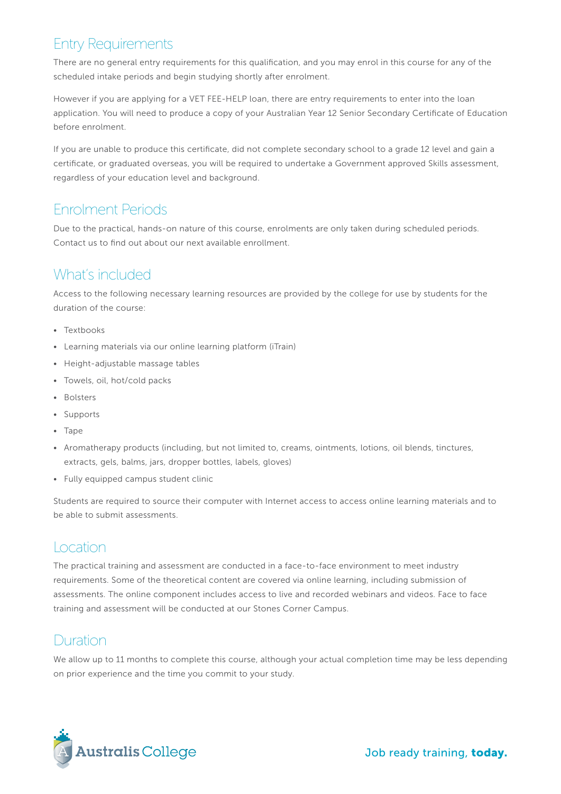# Entry Requirements

There are no general entry requirements for this qualification, and you may enrol in this course for any of the scheduled intake periods and begin studying shortly after enrolment.

However if you are applying for a VET FEE-HELP loan, there are entry requirements to enter into the loan application. You will need to produce a copy of your Australian Year 12 Senior Secondary Certificate of Education before enrolment.

If you are unable to produce this certificate, did not complete secondary school to a grade 12 level and gain a certificate, or graduated overseas, you will be required to undertake a Government approved Skills assessment, regardless of your education level and background.

# Enrolment Periods

Due to the practical, hands-on nature of this course, enrolments are only taken during scheduled periods. Contact us to find out about our next available enrollment.

### What's included

Access to the following necessary learning resources are provided by the college for use by students for the duration of the course:

- Textbooks
- Learning materials via our online learning platform (iTrain)
- Height-adjustable massage tables
- Towels, oil, hot/cold packs
- Bolsters
- Supports
- Tape
- Aromatherapy products (including, but not limited to, creams, ointments, lotions, oil blends, tinctures, extracts, gels, balms, jars, dropper bottles, labels, gloves)
- Fully equipped campus student clinic

Students are required to source their computer with Internet access to access online learning materials and to be able to submit assessments.

#### **Location**

The practical training and assessment are conducted in a face-to-face environment to meet industry requirements. Some of the theoretical content are covered via online learning, including submission of assessments. The online component includes access to live and recorded webinars and videos. Face to face training and assessment will be conducted at our Stones Corner Campus.

#### Duration

We allow up to 11 months to complete this course, although your actual completion time may be less depending on prior experience and the time you commit to your study.

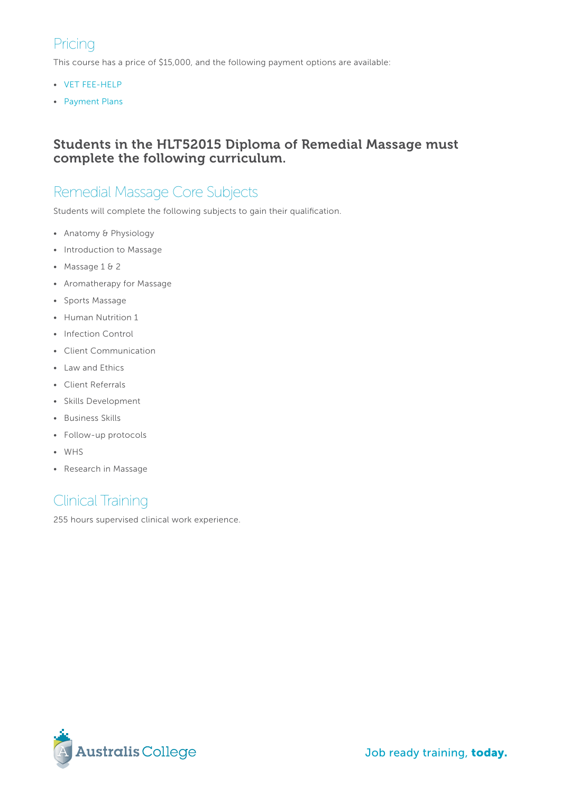# Pricing

This course has a price of \$15,000, and the following payment options are available:

- [VET FEE-HELP](http://www.australiscollege.edu.au/vet-fee-help/)
- [Payment Plans](http://www.australiscollege.edu.au/vet-fee-help/)

#### Students in the HLT52015 Diploma of Remedial Massage must complete the following curriculum.

### Remedial Massage Core Subjects

Students will complete the following subjects to gain their qualification.

- Anatomy & Physiology
- Introduction to Massage
- Massage 1 & 2
- Aromatherapy for Massage
- Sports Massage
- Human Nutrition 1
- Infection Control
- Client Communication
- Law and Ethics
- Client Referrals
- Skills Development
- Business Skills
- Follow-up protocols
- WHS
- Research in Massage

# Clinical Training

255 hours supervised clinical work experience.

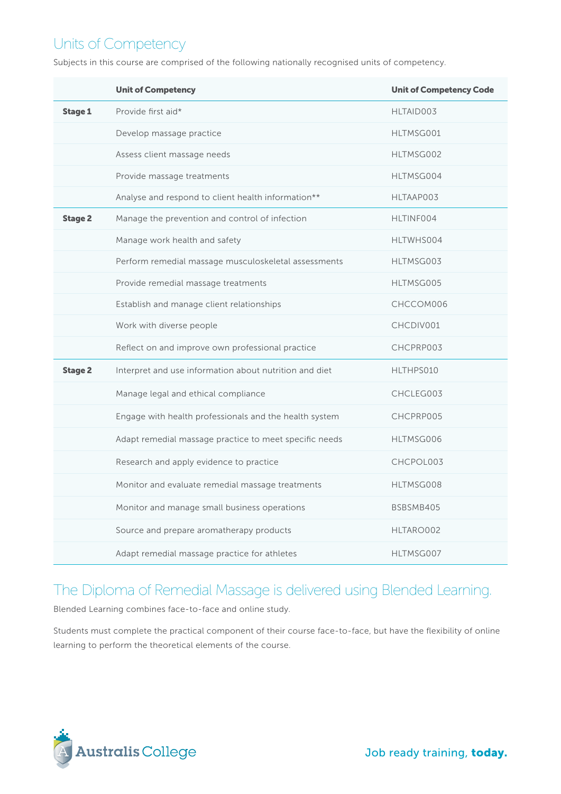# Units of Competency

Subjects in this course are comprised of the following nationally recognised units of competency.

|                | <b>Unit of Competency</b>                              | <b>Unit of Competency Code</b> |
|----------------|--------------------------------------------------------|--------------------------------|
| <b>Stage 1</b> | Provide first aid*                                     | HLTAID003                      |
|                | Develop massage practice                               | HLTMSG001                      |
|                | Assess client massage needs                            | HLTMSG002                      |
|                | Provide massage treatments                             | HLTMSG004                      |
|                | Analyse and respond to client health information**     | HLTAAP003                      |
| <b>Stage 2</b> | Manage the prevention and control of infection         | HLTINF004                      |
|                | Manage work health and safety                          | HLTWHS004                      |
|                | Perform remedial massage musculoskeletal assessments   | HLTMSG003                      |
|                | Provide remedial massage treatments                    | HLTMSG005                      |
|                | Establish and manage client relationships              | CHCCOM006                      |
|                | Work with diverse people                               | CHCDIV001                      |
|                | Reflect on and improve own professional practice       | CHCPRP003                      |
| <b>Stage 2</b> | Interpret and use information about nutrition and diet | HLTHPS010                      |
|                | Manage legal and ethical compliance                    | CHCLEG003                      |
|                | Engage with health professionals and the health system | CHCPRP005                      |
|                | Adapt remedial massage practice to meet specific needs | HLTMSG006                      |
|                | Research and apply evidence to practice                | CHCPOL003                      |
|                | Monitor and evaluate remedial massage treatments       | HLTMSG008                      |
|                | Monitor and manage small business operations           | BSBSMB405                      |
|                | Source and prepare aromatherapy products               | HLTARO002                      |
|                | Adapt remedial massage practice for athletes           | HLTMSG007                      |

# The Diploma of Remedial Massage is delivered using Blended Learning.

Blended Learning combines face-to-face and online study.

Students must complete the practical component of their course face-to-face, but have the flexibility of online learning to perform the theoretical elements of the course.